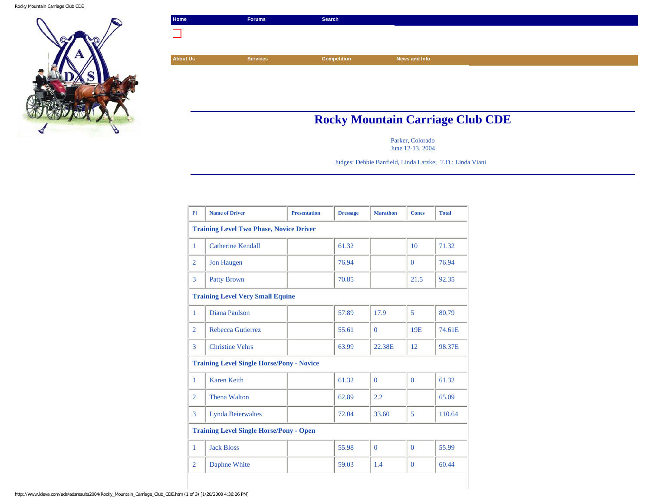Rocky Mountain Carriage Club CDE



| Home            | Forums          | Search      |               |
|-----------------|-----------------|-------------|---------------|
|                 |                 |             |               |
|                 |                 |             |               |
| <b>About Us</b> | <b>Services</b> | Competition | News and Info |
|                 |                 |             |               |
|                 |                 |             |               |
|                 |                 |             |               |

## **Rocky Mountain Carriage Club CDE**

Parker, Colorado June 12-13, 2004

Judges: Debbie Banfield, Linda Latzke; T.D.: Linda Viani

| P1                                             | <b>Name of Driver</b>                            | <b>Presentation</b> | <b>Dressage</b> | <b>Marathon</b> | <b>Cones</b>    | <b>Total</b> |  |
|------------------------------------------------|--------------------------------------------------|---------------------|-----------------|-----------------|-----------------|--------------|--|
|                                                | <b>Training Level Two Phase, Novice Driver</b>   |                     |                 |                 |                 |              |  |
| $\mathbf{1}$                                   | <b>Catherine Kendall</b>                         |                     | 61.32           |                 | 10              | 71.32        |  |
| $\overline{2}$                                 | <b>Jon Haugen</b>                                |                     | 76.94           |                 | $\Omega$        | 76.94        |  |
| 3                                              | <b>Patty Brown</b>                               |                     | 70.85           |                 | 21.5            | 92.35        |  |
|                                                | <b>Training Level Very Small Equine</b>          |                     |                 |                 |                 |              |  |
| 1                                              | Diana Paulson                                    |                     | 57.89           | 17.9            | 5               | 80.79        |  |
| $\overline{2}$                                 | Rebecca Gutierrez                                |                     | 55.61           | $\Omega$        | 19 <sub>E</sub> | 74.61E       |  |
| 3                                              | <b>Christine Vehrs</b>                           |                     | 63.99           | 22.38E          | 12              | 98.37E       |  |
|                                                | <b>Training Level Single Horse/Pony - Novice</b> |                     |                 |                 |                 |              |  |
| $\mathbf{1}$                                   | <b>Karen Keith</b>                               |                     | 61.32           | $\Omega$        | $\Omega$        | 61.32        |  |
| $\overline{2}$                                 | <b>Thena Walton</b>                              |                     | 62.89           | 2.2             |                 | 65.09        |  |
| 3                                              | <b>Lynda Beierwaltes</b>                         |                     | 72.04           | 33.60           | 5               | 110.64       |  |
| <b>Training Level Single Horse/Pony - Open</b> |                                                  |                     |                 |                 |                 |              |  |
| 1                                              | <b>Jack Bloss</b>                                |                     | 55.98           | $\Omega$        | $\Omega$        | 55.99        |  |
| $\overline{2}$                                 | Daphne White                                     |                     | 59.03           | 1.4             | $\Omega$        | 60.44        |  |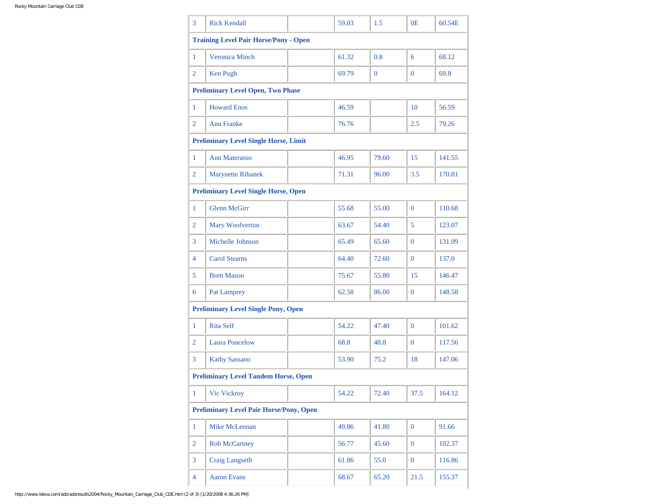| 3                                           | <b>Rick Kendall</b>                            |  | 59.03 | $1.5^{\circ}$ | 0E             | 60.54E |
|---------------------------------------------|------------------------------------------------|--|-------|---------------|----------------|--------|
|                                             | <b>Training Level Pair Horse/Pony - Open</b>   |  |       |               |                |        |
| 1                                           | <b>Veronica Minch</b>                          |  | 61.32 | 0.8           | 6              | 68.12  |
| 2                                           | Ken Pugh                                       |  | 69.79 | $\mathbf{0}$  | $\Omega$       | 69.8   |
|                                             | <b>Preliminary Level Open, Two Phase</b>       |  |       |               |                |        |
| 1                                           | <b>Howard Enos</b>                             |  | 46.59 |               | 10             | 56.59  |
| 2                                           | <b>Ann Franke</b>                              |  | 76.76 |               | 2.5            | 79.26  |
|                                             | <b>Preliminary Level Single Horse, Limit</b>   |  |       |               |                |        |
| 1                                           | <b>Ann Materasso</b>                           |  | 46.95 | 79.60         | 15             | 141.55 |
| 2                                           | <b>Marynette Rihanek</b>                       |  | 71.31 | 96.00         | 3.5            | 170.81 |
|                                             | <b>Preliminary Level Single Horse, Open</b>    |  |       |               |                |        |
| 1                                           | <b>Glenn McGirr</b>                            |  | 55.68 | 55.00         | $\Omega$       | 110.68 |
| 2                                           | Mary Woolverton                                |  | 63.67 | 54.40         | 5              | 123.07 |
| 3                                           | Michelle Johnson                               |  | 65.49 | 65.60         | $\Omega$       | 131.09 |
| $\overline{4}$                              | <b>Carol Stearns</b>                           |  | 64.40 | 72.60         | $\overline{0}$ | 137.0  |
| 5                                           | <b>Brett Mason</b>                             |  | 75.67 | 55.80         | 15             | 146.47 |
| 6                                           | Pat Lamprey                                    |  | 62.58 | 86.00         | $\Omega$       | 148.58 |
|                                             | <b>Preliminary Level Single Pony, Open</b>     |  |       |               |                |        |
| 1                                           | <b>Rita Self</b>                               |  | 54.22 | 47.40         | $\Omega$       | 101.62 |
| 2                                           | <b>Laura Poncelow</b>                          |  | 68.8  | 48.8          | $\mathbf{0}$   | 117.56 |
| 3                                           | <b>Kathy Sassano</b>                           |  | 53.90 | 75.2          | 18             | 147.06 |
| <b>Preliminary Level Tandem Horse, Open</b> |                                                |  |       |               |                |        |
| $\mathbf{1}$                                | Vic Vickroy                                    |  | 54.22 | 72.40         | 37.5           | 164.12 |
|                                             | <b>Preliminary Level Pair Horse/Pony, Open</b> |  |       |               |                |        |
| $\mathbf{1}$                                | Mike McLennan                                  |  | 49.86 | 41.80         | $\mathbf{0}$   | 91.66  |
| $\overline{2}$                              | <b>Rob McCartney</b>                           |  | 56.77 | 45.60         | $\overline{0}$ | 102.37 |
| 3                                           | <b>Craig Langseth</b>                          |  | 61.86 | 55.0          | $\overline{0}$ | 116.86 |
| 4                                           | <b>Aaron Evans</b>                             |  | 68.67 | 65.20         | 21.5           | 155.37 |